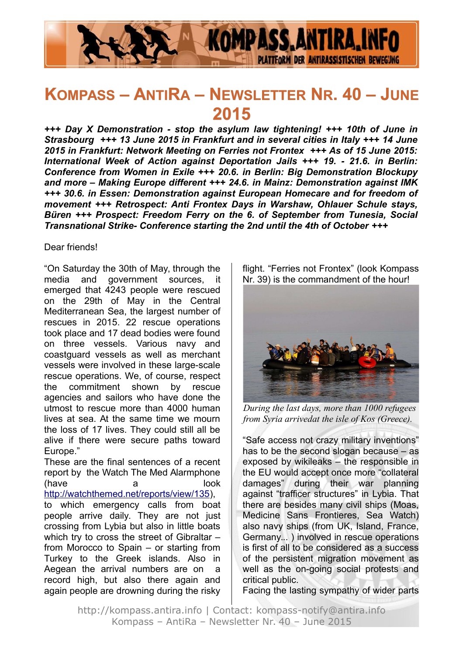

# **KOMPASS – ANTIRA – NEWSLETTER NR. 40 – JUNE 2015**

*+++ Day X Demonstration - stop the asylum law tightening! +++ 10th of June in Strasbourg +++ 13 June 2015 in Frankfurt and in several cities in Italy +++ 14 June 2015 in Frankfurt: Network Meeting on Ferries not Frontex +++ As of 15 June 2015: International Week of Action against Deportation Jails +++ 19. - 21.6. in Berlin: Conference from Women in Exile +++ 20.6. in Berlin: Big Demonstration Blockupy and more – Making Europe different +++ 24.6. in Mainz: Demonstration against IMK +++ 30.6. in Essen: Demonstration against European Homecare and for freedom of movement +++ Retrospect: Anti Frontex Days in Warshaw, Ohlauer Schule stays, Büren +++ Prospect: Freedom Ferry on the 6. of September from Tunesia, Social Transnational Strike- Conference starting the 2nd until the 4th of October +++*

#### Dear friends!

"On Saturday the 30th of May, through the media and government sources, it emerged that 4243 people were rescued on the 29th of May in the Central Mediterranean Sea, the largest number of rescues in 2015. 22 rescue operations took place and 17 dead bodies were found on three vessels. Various navy and coastguard vessels as well as merchant vessels were involved in these large-scale rescue operations. We, of course, respect the commitment shown by rescue agencies and sailors who have done the utmost to rescue more than 4000 human lives at sea. At the same time we mourn the loss of 17 lives. They could still all be alive if there were secure paths toward Europe."

These are the final sentences of a recent report by the Watch The Med Alarmphone (have a look [http://watchthemed.net/reports/view/135\)](http://watchthemed.net/reports/view/135),

to which emergency calls from boat people arrive daily. They are not just crossing from Lybia but also in little boats which try to cross the street of Gibraltar – from Morocco to Spain – or starting from Turkey to the Greek islands. Also in Aegean the arrival numbers are on a record high, but also there again and again people are drowning during the risky

flight. "Ferries not Frontex" (look Kompass Nr. 39) is the commandment of the hour!



*During the last days, more than 1000 refugees from Syria arrivedat the isle of Kos (Greece).*

"Safe access not crazy military inventions" has to be the second slogan because – as exposed by wikileaks – the responsible in the EU would accept once more "collateral damages" during their war planning against "trafficer structures" in Lybia. That there are besides many civil ships (Moas, Medicine Sans Frontieres, Sea Watch) also navy ships (from UK, Island, France, Germany... ) involved in rescue operations is first of all to be considered as a success of the persistent migration movement as well as the on-going social protests and critical public.

Facing the lasting sympathy of wider parts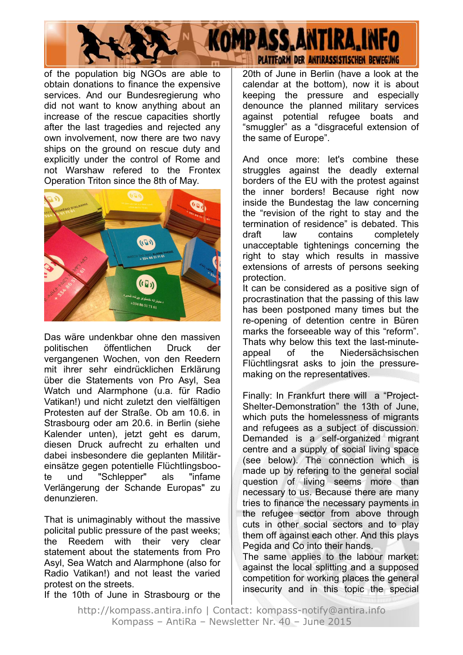

of the population big NGOs are able to obtain donations to finance the expensive services. And our Bundesregierung who did not want to know anything about an increase of the rescue capacities shortly after the last tragedies and rejected any own involvement, now there are two navy ships on the ground on rescue duty and explicitly under the control of Rome and not Warshaw refered to the Frontex Operation Triton since the 8th of May.



Das wäre undenkbar ohne den massiven politischen öffentlichen Druck der vergangenen Wochen, von den Reedern mit ihrer sehr eindrücklichen Erklärung über die Statements von Pro Asyl, Sea Watch und Alarmphone (u.a. für Radio Vatikan!) und nicht zuletzt den vielfältigen Protesten auf der Straße. Ob am 10.6. in Strasbourg oder am 20.6. in Berlin (siehe Kalender unten), jetzt geht es darum, diesen Druck aufrecht zu erhalten und dabei insbesondere die geplanten Militäreinsätze gegen potentielle Flüchtlingsboote und "Schlepper" als "infame Verlängerung der Schande Europas" zu denunzieren.

That is unimaginably without the massive policital public pressure of the past weeks; the Reedem with their very clear statement about the statements from Pro Asyl, Sea Watch and Alarmphone (also for Radio Vatikan!) and not least the varied protest on the streets.

If the 10th of June in Strasbourg or the

20th of June in Berlin (have a look at the calendar at the bottom), now it is about keeping the pressure and especially denounce the planned military services against potential refugee boats and "smuggler" as a "disgraceful extension of the same of Europe".

And once more: let's combine these struggles against the deadly external borders of the EU with the protest against the inner borders! Because right now inside the Bundestag the law concerning the "revision of the right to stay and the termination of residence" is debated. This draft law contains completely unacceptable tightenings concerning the right to stay which results in massive extensions of arrests of persons seeking protection.

It can be considered as a positive sign of procrastination that the passing of this law has been postponed many times but the re-opening of detention centre in Büren marks the forseeable way of this "reform". Thats why below this text the last-minuteappeal of the Niedersächsischen Flüchtlingsrat asks to join the pressuremaking on the representatives.

Finally: In Frankfurt there will a "Project-Shelter-Demonstration" the 13th of June, which puts the homelessness of migrants and refugees as a subject of discussion. Demanded is a self-organized migrant centre and a supply of social living space (see below). The connection which is made up by refering to the general social question of living seems more than necessary to us. Because there are many tries to finance the necessary payments in the refugee sector from above through cuts in other social sectors and to play them off against each other. And this plays Pegida and Co into their hands.

The same applies to the labour market: against the local splitting and a supposed competition for working places the general insecurity and in this topic the special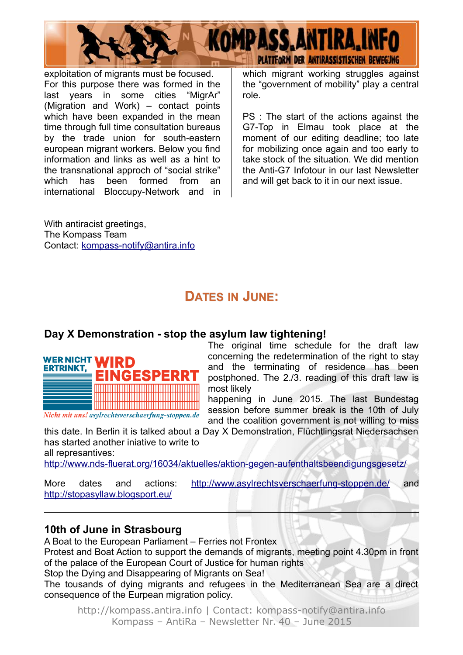

exploitation of migrants must be focused. For this purpose there was formed in the last years in some cities "MigrAr" (Migration and Work) – contact points which have been expanded in the mean time through full time consultation bureaus by the trade union for south-eastern european migrant workers. Below you find information and links as well as a hint to the transnational approch of "social strike" which has been formed from an international Bloccupy-Network and in

With antiracist greetings, The Kompass Team Contact: [kompass-notify@antira.inf](mailto:kompass-notify@antira.info)o which migrant working struggles against the "government of mobility" play a central role.

PS : The start of the actions against the G7-Top in Elmau took place at the moment of our editing deadline; too late for mobilizing once again and too early to take stock of the situation. We did mention the Anti-G7 Infotour in our last Newsletter and will get back to it in our next issue.

## **DATES IN JUNE:**

### **Day X Demonstration - stop the asylum law tightening!**



Nicht mit uns! asylrechtsverschaerfung-stoppen.de

The original time schedule for the draft law concerning the redetermination of the right to stay and the terminating of residence has been postphoned. The 2./3. reading of this draft law is most likely

happening in June 2015. The last Bundestag session before summer break is the 10th of July and the coalition government is not willing to miss

this date. In Berlin it is talked about a Day X Demonstration, Flüchtlingsrat Niedersachsen has started another iniative to write to all represantives:

<http://www.nds-fluerat.org/16034/aktuelles/aktion-gegen-aufenthaltsbeendigungsgesetz/>

| More                             | dates | and | actions: | http://www.asylrechtsverschaerfung-stoppen.de/ | and |
|----------------------------------|-------|-----|----------|------------------------------------------------|-----|
| http://stopasyllaw.blogsport.eu/ |       |     |          |                                                |     |

#### **10th of June in Strasbourg**

A Boat to the European Parliament – Ferries not Frontex

Protest and Boat Action to support the demands of migrants, meeting point 4.30pm in front of the palace of the European Court of Justice for human rights

Stop the Dying and Disappearing of Migrants on Sea!

The tousands of dying migrants and refugees in the Mediterranean Sea are a direct consequence of the Eurpean migration policy.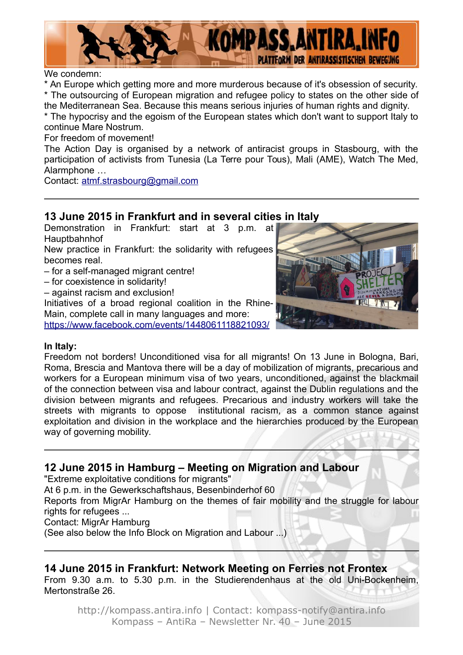

We condemn:

\* An Europe which getting more and more murderous because of it's obsession of security. \* The outsourcing of European migration and refugee policy to states on the other side of

the Mediterranean Sea. Because this means serious injuries of human rights and dignity. \* The hypocrisy and the egoism of the European states which don't want to support Italy to continue Mare Nostrum.

For freedom of movement!

The Action Day is organised by a network of antiracist groups in Stasbourg, with the participation of activists from Tunesia (La Terre pour Tous), Mali (AME), Watch The Med, Alarmphone …

Contact: [atmf.strasbourg@gmail.com](mailto:atmf.strasbourg@gmail.com)

### **13 June 2015 in Frankfurt and in several cities in Italy**

Demonstration in Frankfurt: start at 3 p.m. at Hauptbahnhof

New practice in Frankfurt: the solidarity with refugees becomes real.

- for a self-managed migrant centre!
- for coexistence in solidarity!
- against racism and exclusion!

Initiatives of a broad regional coalition in the Rhine-Main, complete call in many languages and more: <https://www.facebook.com/events/1448061118821093/>



#### **In Italy:**

Freedom not borders! Unconditioned visa for all migrants! On 13 June in Bologna, Bari, Roma, Brescia and Mantova there will be a day of mobilization of migrants, precarious and workers for a European minimum visa of two years, unconditioned, against the blackmail of the connection between visa and labour contract, against the Dublin regulations and the division between migrants and refugees. Precarious and industry workers will take the streets with migrants to oppose institutional racism, as a common stance against exploitation and division in the workplace and the hierarchies produced by the European way of governing mobility.

#### **12 June 2015 in Hamburg – Meeting on Migration and Labour**

"Extreme exploitative conditions for migrants"

At 6 p.m. in the Gewerkschaftshaus, Besenbinderhof 60

Reports from MigrAr Hamburg on the themes of fair mobility and the struggle for labour rights for refugees ...

Contact: MigrAr Hamburg

(See also below the Info Block on Migration and Labour ...)

### **14 June 2015 in Frankfurt: Network Meeting on Ferries not Frontex**

From 9.30 a.m. to 5.30 p.m. in the Studierendenhaus at the old Uni-Bockenheim, Mertonstraße 26.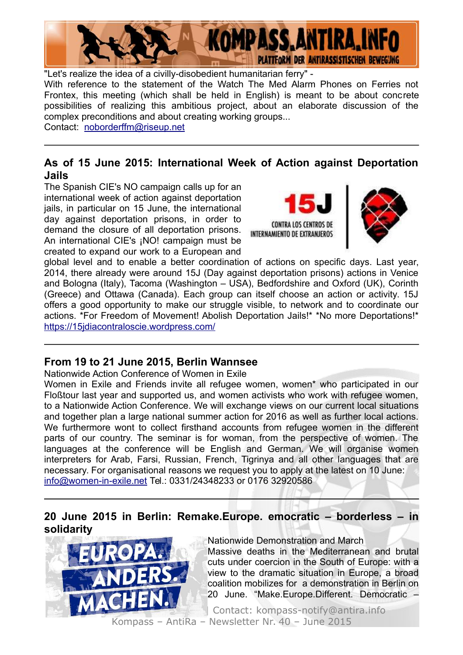

"Let's realize the idea of a civilly-disobedient humanitarian ferry" -

With reference to the statement of the Watch The Med Alarm Phones on Ferries not Frontex, this meeting (which shall be held in English) is meant to be about concrete possibilities of realizing this ambitious project, about an elaborate discussion of the complex preconditions and about creating working groups...

Contact: [noborderffm@riseup.net](mailto:noborderffm@riseup.net)

### **As of 15 June 2015: International Week of Action against Deportation Jails**

The Spanish CIE's NO campaign calls up for an international week of action against deportation jails, in particular on 15 June, the international day against deportation prisons, in order to demand the closure of all deportation prisons. An international CIE's ¡NO! campaign must be created to expand our work to a European and





global level and to enable a better coordination of actions on specific days. Last year, 2014, there already were around 15J (Day against deportation prisons) actions in Venice and Bologna (Italy), Tacoma (Washington – USA), Bedfordshire and Oxford (UK), Corinth (Greece) and Ottawa (Canada). Each group can itself choose an action or activity. 15J offers a good opportunity to make our struggle visible, to network and to coordinate our actions. \*For Freedom of Movement! Abolish Deportation Jails!\* \*No more Deportations!\* <https://15jdiacontraloscie.wordpress.com/>

### **From 19 to 21 June 2015, Berlin Wannsee**

Nationwide Action Conference of Women in Exile

Women in Exile and Friends invite all refugee women, women\* who participated in our Floßtour last year and supported us, and women activists who work with refugee women, to a Nationwide Action Conference. We will exchange views on our current local situations and together plan a large national summer action for 2016 as well as further local actions. We furthermore wont to collect firsthand accounts from refugee women in the different parts of our country. The seminar is for woman, from the perspective of women. The languages at the conference will be English and German. We will organise women interpreters for Arab, Farsi, Russian, French, Tigrinya and all other languages that are necessary. For organisational reasons we request you to apply at the latest on 10 June: [info@women-in-exile.net](mailto:info@women-in-exile.net) Tel.: 0331/24348233 or 0176 32920586

### **20 June 2015 in Berlin: Remake.Europe. emocratic – borderless – in solidarity**



Nationwide Demonstration and March

Massive deaths in the Mediterranean and brutal cuts under coercion in the South of Europe: with a view to the dramatic situation in Europe, a broad coalition mobilizes for a demonstration in Berlin on 20 June. "Make.Europe.Different. Democratic –

Contact: kompass-notify@antira.info Kompass – AntiRa – Newsletter Nr. 40 – June 2015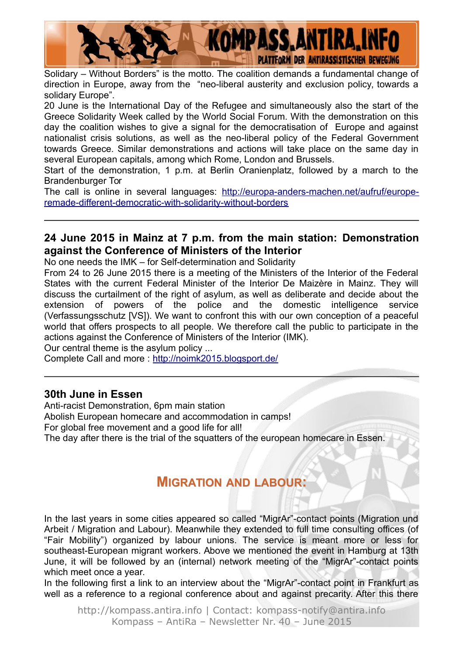

Solidary – Without Borders" is the motto. The coalition demands a fundamental change of direction in Europe, away from the "neo-liberal austerity and exclusion policy, towards a solidary Europe".

20 June is the International Day of the Refugee and simultaneously also the start of the Greece Solidarity Week called by the World Social Forum. With the demonstration on this day the coalition wishes to give a signal for the democratisation of Europe and against nationalist crisis solutions, as well as the neo-liberal policy of the Federal Government towards Greece. Similar demonstrations and actions will take place on the same day in several European capitals, among which Rome, London and Brussels.

Start of the demonstration, 1 p.m. at Berlin Oranienplatz, followed by a march to the Brandenburger Tor

The call is online in several languages: [http://europa-anders-machen.net/aufruf/europe](http://europa-anders-machen.net/aufruf/europe-remade-different-democratic-with-solidarity-without-borders)[remade-different-democratic-with-solidarity-without-borders](http://europa-anders-machen.net/aufruf/europe-remade-different-democratic-with-solidarity-without-borders)

#### **24 June 2015 in Mainz at 7 p.m. from the main station: Demonstration against the Conference of Ministers of the Interior**

No one needs the IMK – for Self-determination and Solidarity

From 24 to 26 June 2015 there is a meeting of the Ministers of the Interior of the Federal States with the current Federal Minister of the Interior De Maizère in Mainz. They will discuss the curtailment of the right of asylum, as well as deliberate and decide about the extension of powers of the police and the domestic intelligence service (Verfassungsschutz [VS]). We want to confront this with our own conception of a peaceful world that offers prospects to all people. We therefore call the public to participate in the actions against the Conference of Ministers of the Interior (IMK).

Our central theme is the asylum policy ...

Complete Call and more :<http://noimk2015.blogsport.de/>

#### **30th June in Essen**

Anti-racist Demonstration, 6pm main station Abolish European homecare and accommodation in camps! For global free movement and a good life for all! The day after there is the trial of the squatters of the european homecare in Essen.

## **MIGRATION AND LABOUR:**

In the last years in some cities appeared so called "MigrAr"-contact points (Migration und Arbeit / Migration and Labour). Meanwhile they extended to full time consulting offices (of "Fair Mobility") organized by labour unions. The service is meant more or less for southeast-European migrant workers. Above we mentioned the event in Hamburg at 13th June, it will be followed by an (internal) network meeting of the "MigrAr"-contact points which meet once a year.

In the following first a link to an interview about the "MigrAr"-contact point in Frankfurt as well as a reference to a regional conference about and against precarity. After this there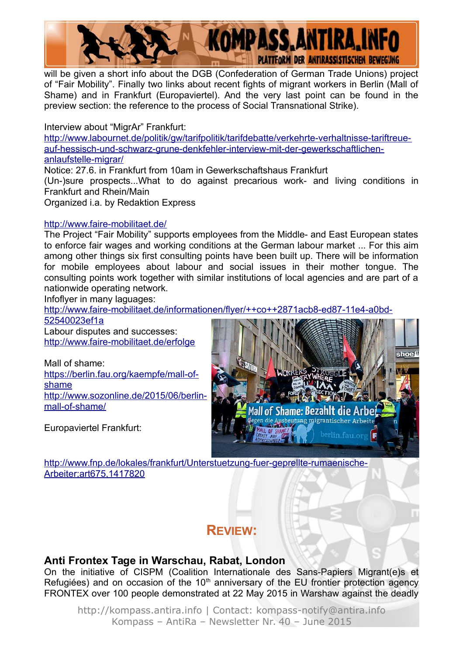

will be given a short info about the DGB (Confederation of German Trade Unions) project of "Fair Mobility". Finally two links about recent fights of migrant workers in Berlin (Mall of Shame) and in Frankfurt (Europaviertel). And the very last point can be found in the preview section: the reference to the process of Social Transnational Strike).

Interview about "MigrAr" Frankfurt:

[http://www.labournet.de/politik/gw/tarifpolitik/tarifdebatte/verkehrte-verhaltnisse-tariftreue](http://www.labournet.de/politik/gw/tarifpolitik/tarifdebatte/verkehrte-verhaltnisse-tariftreue-auf-hessisch-und-schwarz-grune-denkfehler-interview-mit-der-gewerkschaftlichen-anlaufstelle-migrar/)[auf-hessisch-und-schwarz-grune-denkfehler-interview-mit-der-gewerkschaftlichen](http://www.labournet.de/politik/gw/tarifpolitik/tarifdebatte/verkehrte-verhaltnisse-tariftreue-auf-hessisch-und-schwarz-grune-denkfehler-interview-mit-der-gewerkschaftlichen-anlaufstelle-migrar/)[anlaufstelle-migrar/](http://www.labournet.de/politik/gw/tarifpolitik/tarifdebatte/verkehrte-verhaltnisse-tariftreue-auf-hessisch-und-schwarz-grune-denkfehler-interview-mit-der-gewerkschaftlichen-anlaufstelle-migrar/)

Notice: 27.6. in Frankfurt from 10am in Gewerkschaftshaus Frankfurt

(Un-)sure prospects...What to do against precarious work- and living conditions in Frankfurt and Rhein/Main

Organized i.a. by Redaktion Express

#### <http://www.faire-mobilitaet.de/>

The Project "Fair Mobility" supports employees from the Middle- and East European states to enforce fair wages and working conditions at the German labour market ... For this aim among other things six first consulting points have been built up. There will be information for mobile employees about labour and social issues in their mother tongue. The consulting points work together with similar institutions of local agencies and are part of a nationwide operating network.

Infoflyer in many laguages:

[http://www.faire-mobilitaet.de/informationen/flyer/++co++2871acb8-ed87-11e4-a0bd-](http://www.faire-mobilitaet.de/informationen/flyer/++co++2871acb8-ed87-11e4-a0bd-52540023ef1a)

[52540023ef1a](http://www.faire-mobilitaet.de/informationen/flyer/++co++2871acb8-ed87-11e4-a0bd-52540023ef1a)

Labour disputes and successes: <http://www.faire-mobilitaet.de/erfolge>

Mall of shame: [https://berlin.fau.org/kaempfe/mall-of](https://berlin.fau.org/kaempfe/mall-of-shame)[shame](https://berlin.fau.org/kaempfe/mall-of-shame) [http://www.sozonline.de/2015/06/berlin](http://www.sozonline.de/2015/06/berlin-mall-of-shame/)[mall-of-shame/](http://www.sozonline.de/2015/06/berlin-mall-of-shame/)

Europaviertel Frankfurt:



[http://www.fnp.de/lokales/frankfurt/Unterstuetzung-fuer-geprellte-rumaenische-](http://www.fnp.de/lokales/frankfurt/Unterstuetzung-fuer-geprellte-rumaenische-Arbeiter;art675,1417820)[Arbeiter;art675,1417820](http://www.fnp.de/lokales/frankfurt/Unterstuetzung-fuer-geprellte-rumaenische-Arbeiter;art675,1417820)

## **REVIEW:**

#### **Anti Frontex Tage in Warschau, Rabat, London**

On the initiative of CISPM (Coalition Internationale des Sans-Papiers Migrant(e)s et Refugiées) and on occasion of the  $10<sup>th</sup>$  anniversary of the EU frontier protection agency FRONTEX over 100 people demonstrated at 22 May 2015 in Warshaw against the deadly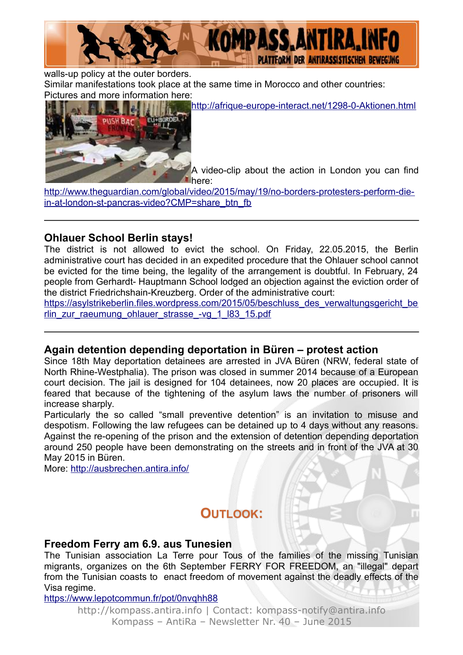

walls-up policy at the outer borders.

Similar manifestations took place at the same time in Morocco and other countries: Pictures and more information here:

<http://afrique-europe-interact.net/1298-0-Aktionen.html>



A video-clip about the action in London you can find here:

[http://www.theguardian.com/global/video/2015/may/19/no-borders-protesters-perform-die](http://www.theguardian.com/global/video/2015/may/19/no-borders-protesters-perform-die-in-at-london-st-pancras-video?CMP=share_btn_fb)[in-at-london-st-pancras-video?CMP=share\\_btn\\_fb](http://www.theguardian.com/global/video/2015/may/19/no-borders-protesters-perform-die-in-at-london-st-pancras-video?CMP=share_btn_fb)

### **Ohlauer School Berlin stays!**

The district is not allowed to evict the school. On Friday, 22.05.2015, the Berlin administrative court has decided in an expedited procedure that the Ohlauer school cannot be evicted for the time being, the legality of the arrangement is doubtful. In February, 24 people from Gerhardt- Hauptmann School lodged an objection against the eviction order of the district Friedrichshain-Kreuzberg. Order of the administrative court:

[https://asylstrikeberlin.files.wordpress.com/2015/05/beschluss\\_des\\_verwaltungsgericht\\_be](https://asylstrikeberlin.files.wordpress.com/2015/05/beschluss_des_verwaltungsgericht_berlin_zur_raeumung_ohlauer_strasse_-vg_1_l83_15.pdf) [rlin\\_zur\\_raeumung\\_ohlauer\\_strasse\\_-vg\\_1\\_l83\\_15.pdf](https://asylstrikeberlin.files.wordpress.com/2015/05/beschluss_des_verwaltungsgericht_berlin_zur_raeumung_ohlauer_strasse_-vg_1_l83_15.pdf)

#### **Again detention depending deportation in Büren – protest action**

Since 18th May deportation detainees are arrested in JVA Büren (NRW, federal state of North Rhine-Westphalia). The prison was closed in summer 2014 because of a European court decision. The jail is designed for 104 detainees, now 20 places are occupied. It is feared that because of the tightening of the asylum laws the number of prisoners will increase sharply.

Particularly the so called "small preventive detention" is an invitation to misuse and despotism. Following the law refugees can be detained up to 4 days without any reasons. Against the re-opening of the prison and the extension of detention depending deportation around 250 people have been demonstrating on the streets and in front of the JVA at 30 May 2015 in Büren.

More:<http://ausbrechen.antira.info/>

## **OUTLOOK:**

#### **Freedom Ferry am 6.9. aus Tunesien**

The Tunisian association La Terre pour Tous of the families of the missing Tunisian migrants, organizes on the 6th September FERRY FOR FREEDOM, an "illegal" depart from the Tunisian coasts to enact freedom of movement against the deadly effects of the Visa regime.

<https://www.lepotcommun.fr/pot/0nvqhh88>

http://kompass.antira.info | Contact: kompass-notify@antira.info Kompass – AntiRa – Newsletter Nr. 40 – June 2015